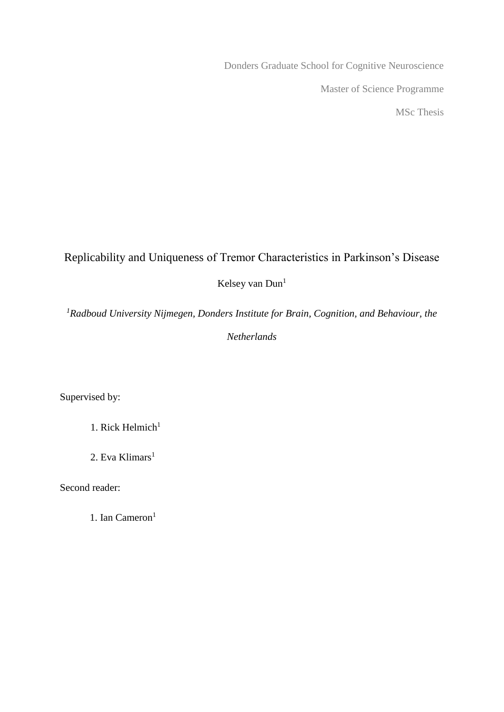Donders Graduate School for Cognitive Neuroscience Master of Science Programme MSc Thesis

# Replicability and Uniqueness of Tremor Characteristics in Parkinson's Disease

Kelsey van Dun<sup>1</sup>

*<sup>1</sup>Radboud University Nijmegen, Donders Institute for Brain, Cognition, and Behaviour, the* 

*Netherlands* 

Supervised by:

1. Rick Helmich $1$ 

2. Eva Klimars $<sup>1</sup>$ </sup>

Second reader:

1. Ian Cameron<sup>1</sup>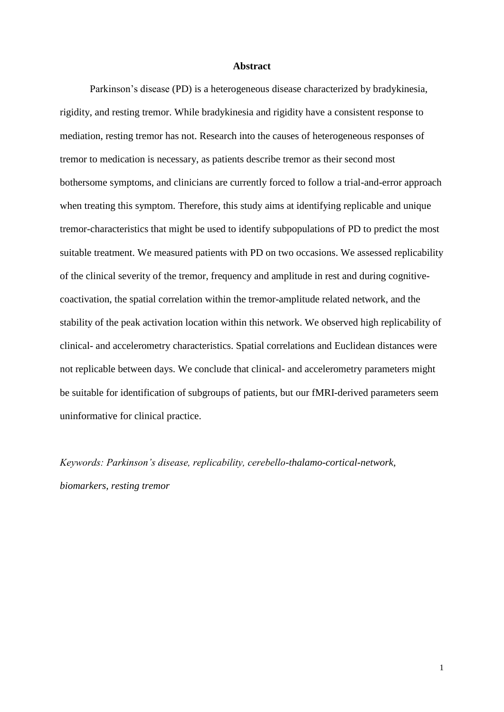### **Abstract**

Parkinson's disease (PD) is a heterogeneous disease characterized by bradykinesia, rigidity, and resting tremor. While bradykinesia and rigidity have a consistent response to mediation, resting tremor has not. Research into the causes of heterogeneous responses of tremor to medication is necessary, as patients describe tremor as their second most bothersome symptoms, and clinicians are currently forced to follow a trial-and-error approach when treating this symptom. Therefore, this study aims at identifying replicable and unique tremor-characteristics that might be used to identify subpopulations of PD to predict the most suitable treatment. We measured patients with PD on two occasions. We assessed replicability of the clinical severity of the tremor, frequency and amplitude in rest and during cognitivecoactivation, the spatial correlation within the tremor-amplitude related network, and the stability of the peak activation location within this network. We observed high replicability of clinical- and accelerometry characteristics. Spatial correlations and Euclidean distances were not replicable between days. We conclude that clinical- and accelerometry parameters might be suitable for identification of subgroups of patients, but our fMRI-derived parameters seem uninformative for clinical practice.

*Keywords: Parkinson's disease, replicability, cerebello-thalamo-cortical-network, biomarkers, resting tremor*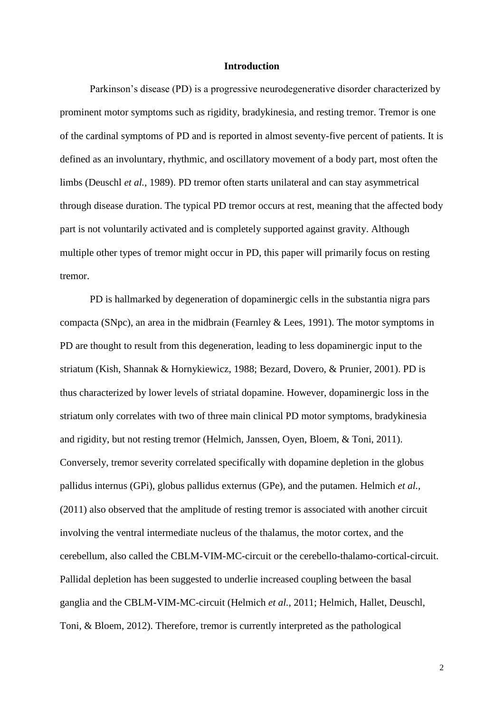## **Introduction**

Parkinson's disease (PD) is a progressive neurodegenerative disorder characterized by prominent motor symptoms such as rigidity, bradykinesia, and resting tremor. Tremor is one of the cardinal symptoms of PD and is reported in almost seventy-five percent of patients. It is defined as an involuntary, rhythmic, and oscillatory movement of a body part, most often the limbs (Deuschl *et al.,* 1989). PD tremor often starts unilateral and can stay asymmetrical through disease duration. The typical PD tremor occurs at rest, meaning that the affected body part is not voluntarily activated and is completely supported against gravity. Although multiple other types of tremor might occur in PD, this paper will primarily focus on resting tremor.

PD is hallmarked by degeneration of dopaminergic cells in the substantia nigra pars compacta (SNpc), an area in the midbrain (Fearnley & Lees, 1991). The motor symptoms in PD are thought to result from this degeneration, leading to less dopaminergic input to the striatum (Kish, Shannak & Hornykiewicz, 1988; Bezard, Dovero, & Prunier, 2001). PD is thus characterized by lower levels of striatal dopamine. However, dopaminergic loss in the striatum only correlates with two of three main clinical PD motor symptoms, bradykinesia and rigidity, but not resting tremor (Helmich, Janssen, Oyen, Bloem, & Toni, 2011). Conversely, tremor severity correlated specifically with dopamine depletion in the globus pallidus internus (GPi), globus pallidus externus (GPe), and the putamen. Helmich *et al.,*  (2011) also observed that the amplitude of resting tremor is associated with another circuit involving the ventral intermediate nucleus of the thalamus, the motor cortex, and the cerebellum, also called the CBLM-VIM-MC-circuit or the cerebello-thalamo-cortical-circuit. Pallidal depletion has been suggested to underlie increased coupling between the basal ganglia and the CBLM-VIM-MC-circuit (Helmich *et al.,* 2011; Helmich, Hallet, Deuschl, Toni, & Bloem, 2012). Therefore, tremor is currently interpreted as the pathological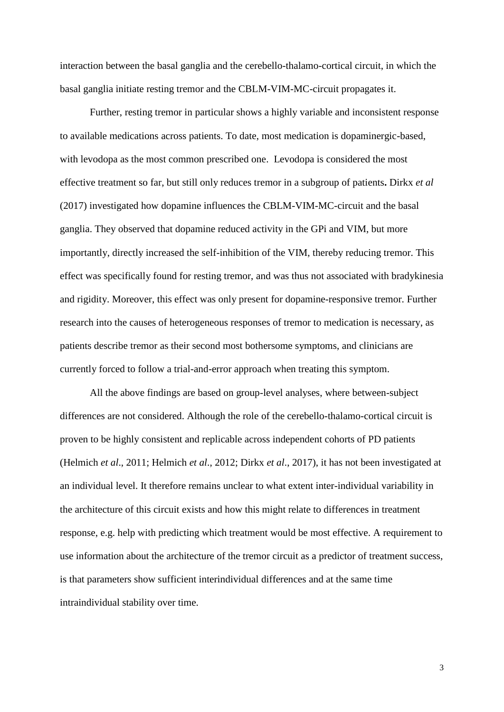interaction between the basal ganglia and the cerebello-thalamo-cortical circuit, in which the basal ganglia initiate resting tremor and the CBLM-VIM-MC-circuit propagates it.

Further, resting tremor in particular shows a highly variable and inconsistent response to available medications across patients. To date, most medication is dopaminergic-based, with levodopa as the most common prescribed one. Levodopa is considered the most effective treatment so far, but still only reduces tremor in a subgroup of patients**.** Dirkx *et al* (2017) investigated how dopamine influences the CBLM-VIM-MC-circuit and the basal ganglia. They observed that dopamine reduced activity in the GPi and VIM, but more importantly, directly increased the self-inhibition of the VIM, thereby reducing tremor. This effect was specifically found for resting tremor, and was thus not associated with bradykinesia and rigidity. Moreover, this effect was only present for dopamine-responsive tremor. Further research into the causes of heterogeneous responses of tremor to medication is necessary, as patients describe tremor as their second most bothersome symptoms, and clinicians are currently forced to follow a trial-and-error approach when treating this symptom.

All the above findings are based on group-level analyses, where between-subject differences are not considered. Although the role of the cerebello-thalamo-cortical circuit is proven to be highly consistent and replicable across independent cohorts of PD patients (Helmich *et al*., 2011; Helmich *et al*., 2012; Dirkx *et al*., 2017), it has not been investigated at an individual level. It therefore remains unclear to what extent inter-individual variability in the architecture of this circuit exists and how this might relate to differences in treatment response, e.g. help with predicting which treatment would be most effective. A requirement to use information about the architecture of the tremor circuit as a predictor of treatment success, is that parameters show sufficient interindividual differences and at the same time intraindividual stability over time.

3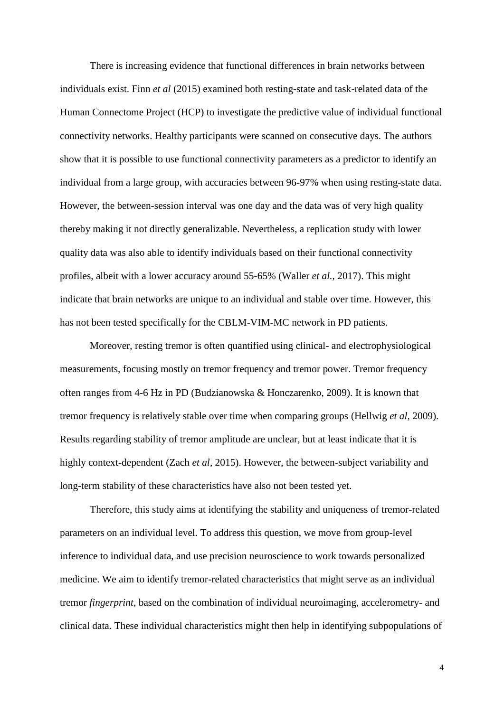There is increasing evidence that functional differences in brain networks between individuals exist. Finn *et al* (2015) examined both resting-state and task-related data of the Human Connectome Project (HCP) to investigate the predictive value of individual functional connectivity networks. Healthy participants were scanned on consecutive days. The authors show that it is possible to use functional connectivity parameters as a predictor to identify an individual from a large group, with accuracies between 96-97% when using resting-state data. However, the between-session interval was one day and the data was of very high quality thereby making it not directly generalizable. Nevertheless, a replication study with lower quality data was also able to identify individuals based on their functional connectivity profiles, albeit with a lower accuracy around 55-65% (Waller *et al.,* 2017). This might indicate that brain networks are unique to an individual and stable over time. However, this has not been tested specifically for the CBLM-VIM-MC network in PD patients.

Moreover, resting tremor is often quantified using clinical- and electrophysiological measurements, focusing mostly on tremor frequency and tremor power. Tremor frequency often ranges from 4-6 Hz in PD (Budzianowska & Honczarenko, 2009). It is known that tremor frequency is relatively stable over time when comparing groups (Hellwig *et al*, 2009). Results regarding stability of tremor amplitude are unclear, but at least indicate that it is highly context-dependent (Zach *et al*, 2015). However, the between-subject variability and long-term stability of these characteristics have also not been tested yet.

Therefore, this study aims at identifying the stability and uniqueness of tremor-related parameters on an individual level. To address this question, we move from group-level inference to individual data, and use precision neuroscience to work towards personalized medicine. We aim to identify tremor-related characteristics that might serve as an individual tremor *fingerprint*, based on the combination of individual neuroimaging, accelerometry- and clinical data. These individual characteristics might then help in identifying subpopulations of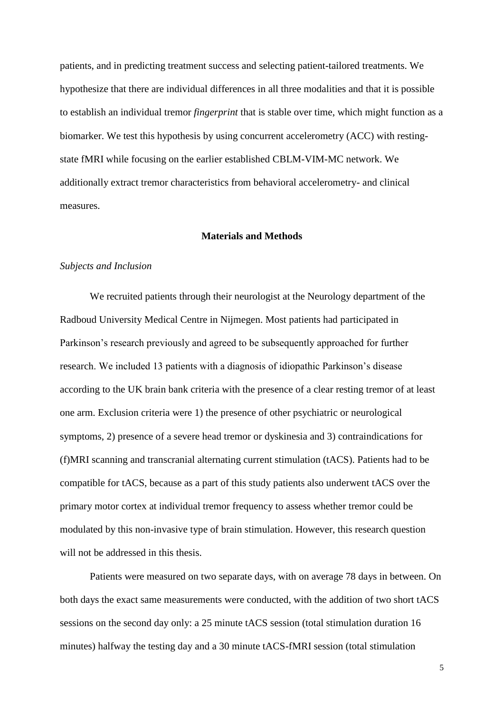patients, and in predicting treatment success and selecting patient-tailored treatments. We hypothesize that there are individual differences in all three modalities and that it is possible to establish an individual tremor *fingerprint* that is stable over time, which might function as a biomarker. We test this hypothesis by using concurrent accelerometry (ACC) with restingstate fMRI while focusing on the earlier established CBLM-VIM-MC network. We additionally extract tremor characteristics from behavioral accelerometry- and clinical measures.

## **Materials and Methods**

#### *Subjects and Inclusion*

We recruited patients through their neurologist at the Neurology department of the Radboud University Medical Centre in Nijmegen. Most patients had participated in Parkinson's research previously and agreed to be subsequently approached for further research. We included 13 patients with a diagnosis of idiopathic Parkinson's disease according to the UK brain bank criteria with the presence of a clear resting tremor of at least one arm. Exclusion criteria were 1) the presence of other psychiatric or neurological symptoms, 2) presence of a severe head tremor or dyskinesia and 3) contraindications for (f)MRI scanning and transcranial alternating current stimulation (tACS). Patients had to be compatible for tACS, because as a part of this study patients also underwent tACS over the primary motor cortex at individual tremor frequency to assess whether tremor could be modulated by this non-invasive type of brain stimulation. However, this research question will not be addressed in this thesis.

Patients were measured on two separate days, with on average 78 days in between. On both days the exact same measurements were conducted, with the addition of two short tACS sessions on the second day only: a 25 minute tACS session (total stimulation duration 16 minutes) halfway the testing day and a 30 minute tACS-fMRI session (total stimulation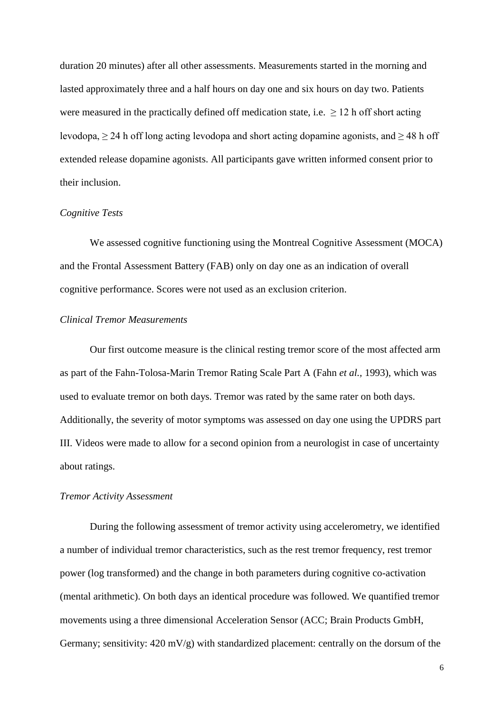duration 20 minutes) after all other assessments. Measurements started in the morning and lasted approximately three and a half hours on day one and six hours on day two. Patients were measured in the practically defined off medication state, i.e.  $\geq 12$  h off short acting levodopa,  $\geq$  24 h off long acting levodopa and short acting dopamine agonists, and  $\geq$  48 h off extended release dopamine agonists. All participants gave written informed consent prior to their inclusion.

### *Cognitive Tests*

We assessed cognitive functioning using the Montreal Cognitive Assessment (MOCA) and the Frontal Assessment Battery (FAB) only on day one as an indication of overall cognitive performance. Scores were not used as an exclusion criterion.

## *Clinical Tremor Measurements*

Our first outcome measure is the clinical resting tremor score of the most affected arm as part of the Fahn-Tolosa-Marin Tremor Rating Scale Part A (Fahn *et al.,* 1993), which was used to evaluate tremor on both days. Tremor was rated by the same rater on both days. Additionally, the severity of motor symptoms was assessed on day one using the UPDRS part III. Videos were made to allow for a second opinion from a neurologist in case of uncertainty about ratings.

#### *Tremor Activity Assessment*

During the following assessment of tremor activity using accelerometry, we identified a number of individual tremor characteristics, such as the rest tremor frequency, rest tremor power (log transformed) and the change in both parameters during cognitive co-activation (mental arithmetic). On both days an identical procedure was followed. We quantified tremor movements using a three dimensional Acceleration Sensor (ACC; Brain Products GmbH, Germany; sensitivity:  $420 \text{ mV/g}$  with standardized placement: centrally on the dorsum of the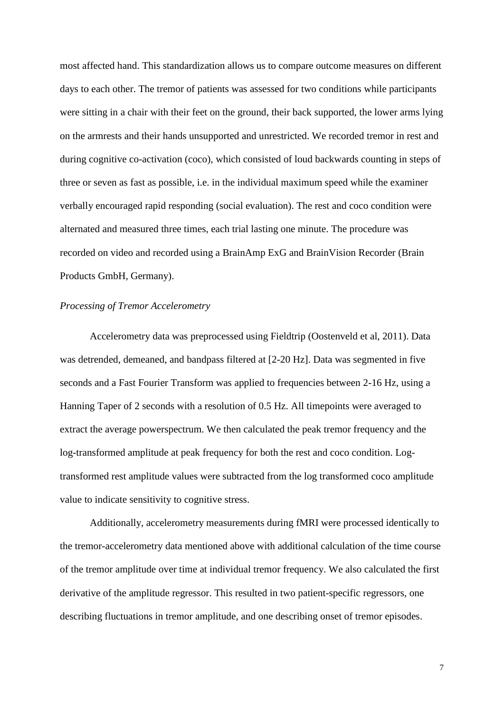most affected hand. This standardization allows us to compare outcome measures on different days to each other. The tremor of patients was assessed for two conditions while participants were sitting in a chair with their feet on the ground, their back supported, the lower arms lying on the armrests and their hands unsupported and unrestricted. We recorded tremor in rest and during cognitive co-activation (coco), which consisted of loud backwards counting in steps of three or seven as fast as possible, i.e. in the individual maximum speed while the examiner verbally encouraged rapid responding (social evaluation). The rest and coco condition were alternated and measured three times, each trial lasting one minute. The procedure was recorded on video and recorded using a BrainAmp ExG and BrainVision Recorder (Brain Products GmbH, Germany).

### *Processing of Tremor Accelerometry*

Accelerometry data was preprocessed using Fieldtrip (Oostenveld et al, 2011). Data was detrended, demeaned, and bandpass filtered at [2-20 Hz]. Data was segmented in five seconds and a Fast Fourier Transform was applied to frequencies between 2-16 Hz, using a Hanning Taper of 2 seconds with a resolution of 0.5 Hz. All timepoints were averaged to extract the average powerspectrum. We then calculated the peak tremor frequency and the log-transformed amplitude at peak frequency for both the rest and coco condition. Logtransformed rest amplitude values were subtracted from the log transformed coco amplitude value to indicate sensitivity to cognitive stress.

Additionally, accelerometry measurements during fMRI were processed identically to the tremor-accelerometry data mentioned above with additional calculation of the time course of the tremor amplitude over time at individual tremor frequency. We also calculated the first derivative of the amplitude regressor. This resulted in two patient-specific regressors, one describing fluctuations in tremor amplitude, and one describing onset of tremor episodes.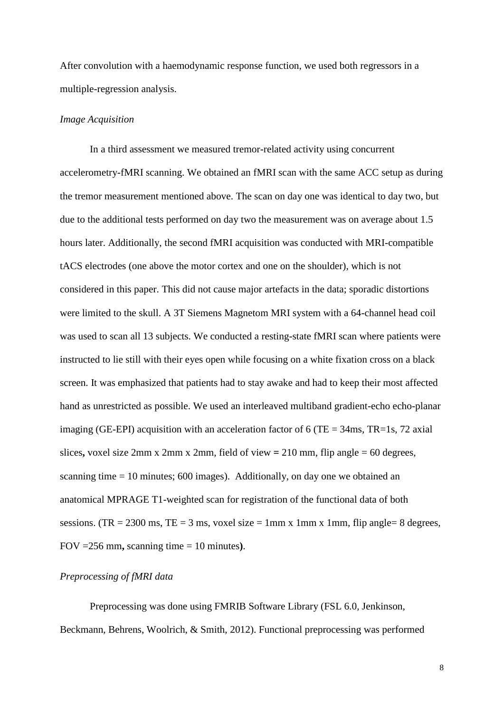After convolution with a haemodynamic response function, we used both regressors in a multiple-regression analysis.

### *Image Acquisition*

In a third assessment we measured tremor-related activity using concurrent accelerometry-fMRI scanning. We obtained an fMRI scan with the same ACC setup as during the tremor measurement mentioned above. The scan on day one was identical to day two, but due to the additional tests performed on day two the measurement was on average about 1.5 hours later. Additionally, the second fMRI acquisition was conducted with MRI-compatible tACS electrodes (one above the motor cortex and one on the shoulder), which is not considered in this paper. This did not cause major artefacts in the data; sporadic distortions were limited to the skull. A 3T Siemens Magnetom MRI system with a 64-channel head coil was used to scan all 13 subjects. We conducted a resting-state fMRI scan where patients were instructed to lie still with their eyes open while focusing on a white fixation cross on a black screen. It was emphasized that patients had to stay awake and had to keep their most affected hand as unrestricted as possible. We used an interleaved multiband gradient-echo echo-planar imaging (GE-EPI) acquisition with an acceleration factor of 6 (TE =  $34$ ms, TR=1s, 72 axial slices**,** voxel size 2mm x 2mm x 2mm, field of view **=** 210 mm, flip angle = 60 degrees, scanning time = 10 minutes; 600 images). Additionally, on day one we obtained an anatomical MPRAGE T1-weighted scan for registration of the functional data of both sessions. (TR = 2300 ms, TE = 3 ms, voxel size = 1mm x 1mm x 1mm, flip angle= 8 degrees, FOV =256 mm**,** scanning time = 10 minutes**)**.

## *Preprocessing of fMRI data*

Preprocessing was done using FMRIB Software Library (FSL 6.0, Jenkinson, Beckmann, Behrens, Woolrich, & Smith, 2012). Functional preprocessing was performed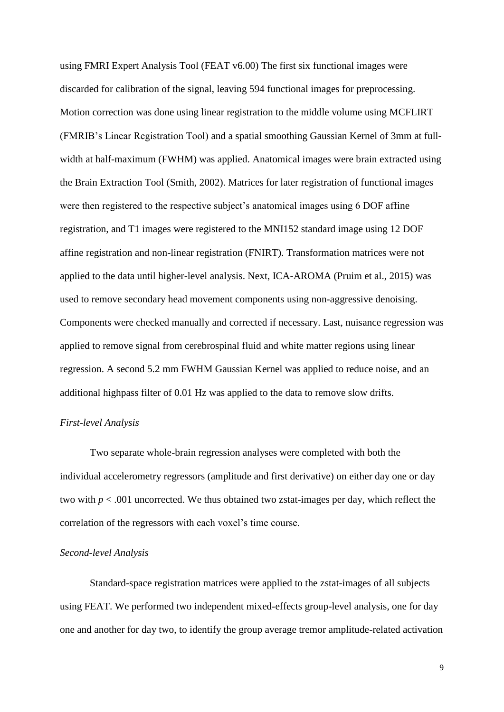using FMRI Expert Analysis Tool (FEAT v6.00) The first six functional images were discarded for calibration of the signal, leaving 594 functional images for preprocessing. Motion correction was done using linear registration to the middle volume using MCFLIRT (FMRIB's Linear Registration Tool) and a spatial smoothing Gaussian Kernel of 3mm at fullwidth at half-maximum (FWHM) was applied. Anatomical images were brain extracted using the Brain Extraction Tool (Smith, 2002). Matrices for later registration of functional images were then registered to the respective subject's anatomical images using 6 DOF affine registration, and T1 images were registered to the MNI152 standard image using 12 DOF affine registration and non-linear registration (FNIRT). Transformation matrices were not applied to the data until higher-level analysis. Next, ICA-AROMA (Pruim et al., 2015) was used to remove secondary head movement components using non-aggressive denoising. Components were checked manually and corrected if necessary. Last, nuisance regression was applied to remove signal from cerebrospinal fluid and white matter regions using linear regression. A second 5.2 mm FWHM Gaussian Kernel was applied to reduce noise, and an additional highpass filter of 0.01 Hz was applied to the data to remove slow drifts.

## *First-level Analysis*

Two separate whole-brain regression analyses were completed with both the individual accelerometry regressors (amplitude and first derivative) on either day one or day two with  $p < .001$  uncorrected. We thus obtained two zstat-images per day, which reflect the correlation of the regressors with each voxel's time course.

## *Second-level Analysis*

Standard-space registration matrices were applied to the zstat-images of all subjects using FEAT. We performed two independent mixed-effects group-level analysis, one for day one and another for day two, to identify the group average tremor amplitude-related activation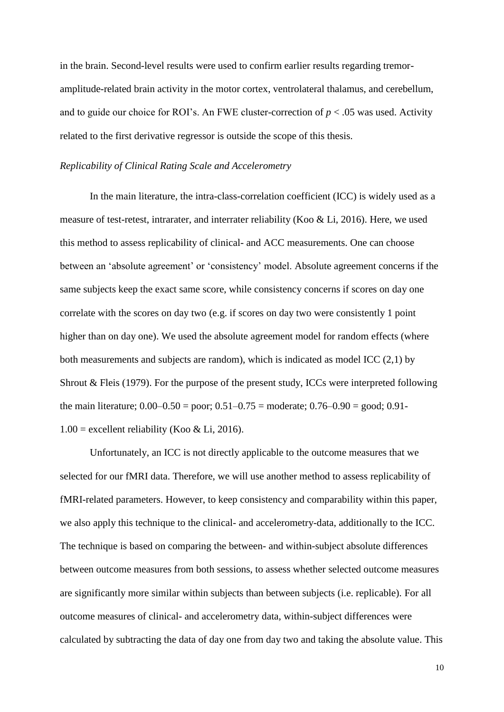in the brain. Second-level results were used to confirm earlier results regarding tremoramplitude-related brain activity in the motor cortex, ventrolateral thalamus, and cerebellum, and to guide our choice for ROI's. An FWE cluster-correction of  $p < .05$  was used. Activity related to the first derivative regressor is outside the scope of this thesis.

### *Replicability of Clinical Rating Scale and Accelerometry*

In the main literature, the intra-class-correlation coefficient (ICC) is widely used as a measure of test-retest, intrarater, and interrater reliability (Koo & Li, 2016). Here, we used this method to assess replicability of clinical- and ACC measurements. One can choose between an 'absolute agreement' or 'consistency' model. Absolute agreement concerns if the same subjects keep the exact same score, while consistency concerns if scores on day one correlate with the scores on day two (e.g. if scores on day two were consistently 1 point higher than on day one). We used the absolute agreement model for random effects (where both measurements and subjects are random), which is indicated as model ICC (2,1) by Shrout & Fleis (1979). For the purpose of the present study, ICCs were interpreted following the main literature;  $0.00-0.50 =$  poor;  $0.51-0.75 =$  moderate;  $0.76-0.90 =$  good;  $0.91 1.00$  = excellent reliability (Koo & Li, 2016).

Unfortunately, an ICC is not directly applicable to the outcome measures that we selected for our fMRI data. Therefore, we will use another method to assess replicability of fMRI-related parameters. However, to keep consistency and comparability within this paper, we also apply this technique to the clinical- and accelerometry-data, additionally to the ICC. The technique is based on comparing the between- and within-subject absolute differences between outcome measures from both sessions, to assess whether selected outcome measures are significantly more similar within subjects than between subjects (i.e. replicable). For all outcome measures of clinical- and accelerometry data, within-subject differences were calculated by subtracting the data of day one from day two and taking the absolute value. This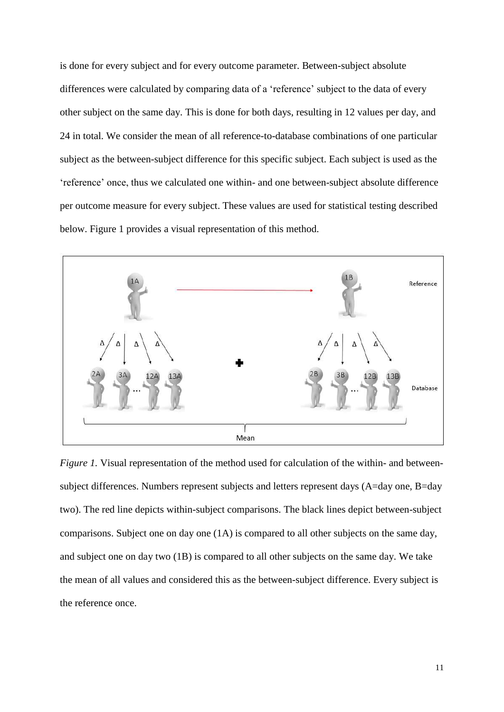is done for every subject and for every outcome parameter. Between-subject absolute differences were calculated by comparing data of a 'reference' subject to the data of every other subject on the same day. This is done for both days, resulting in 12 values per day, and 24 in total. We consider the mean of all reference-to-database combinations of one particular subject as the between-subject difference for this specific subject. Each subject is used as the 'reference' once, thus we calculated one within- and one between-subject absolute difference per outcome measure for every subject. These values are used for statistical testing described below. Figure 1 provides a visual representation of this method.



*Figure 1.* Visual representation of the method used for calculation of the within- and betweensubject differences. Numbers represent subjects and letters represent days (A=day one, B=day two). The red line depicts within-subject comparisons. The black lines depict between-subject comparisons. Subject one on day one (1A) is compared to all other subjects on the same day, and subject one on day two (1B) is compared to all other subjects on the same day. We take the mean of all values and considered this as the between-subject difference. Every subject is the reference once.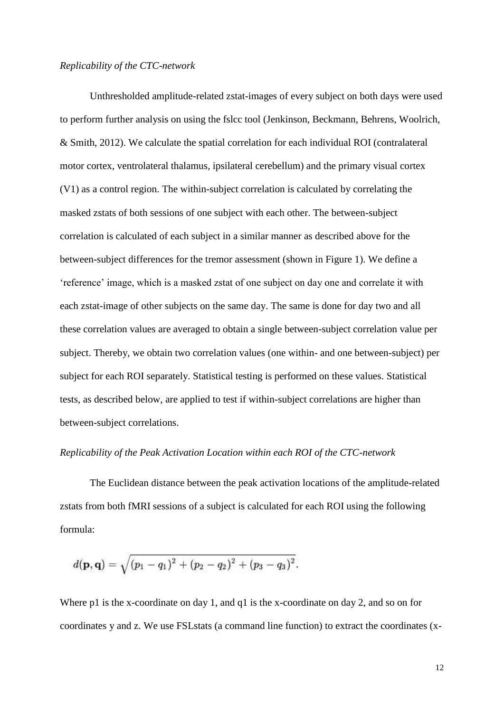## *Replicability of the CTC-network*

Unthresholded amplitude-related zstat-images of every subject on both days were used to perform further analysis on using the fslcc tool (Jenkinson, Beckmann, Behrens, Woolrich, & Smith, 2012). We calculate the spatial correlation for each individual ROI (contralateral motor cortex, ventrolateral thalamus, ipsilateral cerebellum) and the primary visual cortex (V1) as a control region. The within-subject correlation is calculated by correlating the masked zstats of both sessions of one subject with each other. The between-subject correlation is calculated of each subject in a similar manner as described above for the between-subject differences for the tremor assessment (shown in Figure 1). We define a 'reference' image, which is a masked zstat of one subject on day one and correlate it with each zstat-image of other subjects on the same day. The same is done for day two and all these correlation values are averaged to obtain a single between-subject correlation value per subject. Thereby, we obtain two correlation values (one within- and one between-subject) per subject for each ROI separately. Statistical testing is performed on these values. Statistical tests, as described below, are applied to test if within-subject correlations are higher than between-subject correlations.

#### *Replicability of the Peak Activation Location within each ROI of the CTC-network*

The Euclidean distance between the peak activation locations of the amplitude-related zstats from both fMRI sessions of a subject is calculated for each ROI using the following formula:

$$
d(\mathbf{p},\mathbf{q})=\sqrt{(p_1-q_1)^2+(p_2-q_2)^2+(p_3-q_3)^2}.
$$

Where p1 is the x-coordinate on day 1, and q1 is the x-coordinate on day 2, and so on for coordinates y and z. We use FSLstats (a command line function) to extract the coordinates (x-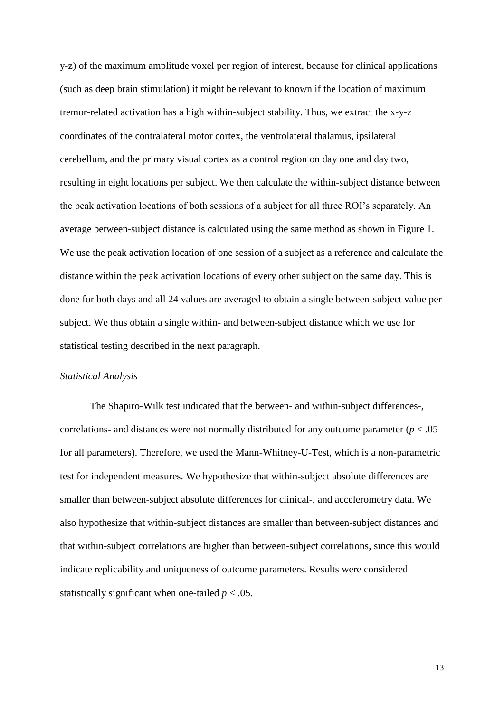y-z) of the maximum amplitude voxel per region of interest, because for clinical applications (such as deep brain stimulation) it might be relevant to known if the location of maximum tremor-related activation has a high within-subject stability. Thus, we extract the x-y-z coordinates of the contralateral motor cortex, the ventrolateral thalamus, ipsilateral cerebellum, and the primary visual cortex as a control region on day one and day two, resulting in eight locations per subject. We then calculate the within-subject distance between the peak activation locations of both sessions of a subject for all three ROI's separately. An average between-subject distance is calculated using the same method as shown in Figure 1. We use the peak activation location of one session of a subject as a reference and calculate the distance within the peak activation locations of every other subject on the same day. This is done for both days and all 24 values are averaged to obtain a single between-subject value per subject. We thus obtain a single within- and between-subject distance which we use for statistical testing described in the next paragraph.

#### *Statistical Analysis*

The Shapiro-Wilk test indicated that the between- and within-subject differences-, correlations- and distances were not normally distributed for any outcome parameter  $(p < .05$ for all parameters). Therefore, we used the Mann-Whitney-U-Test, which is a non-parametric test for independent measures. We hypothesize that within-subject absolute differences are smaller than between-subject absolute differences for clinical-, and accelerometry data. We also hypothesize that within-subject distances are smaller than between-subject distances and that within-subject correlations are higher than between-subject correlations, since this would indicate replicability and uniqueness of outcome parameters. Results were considered statistically significant when one-tailed  $p < .05$ .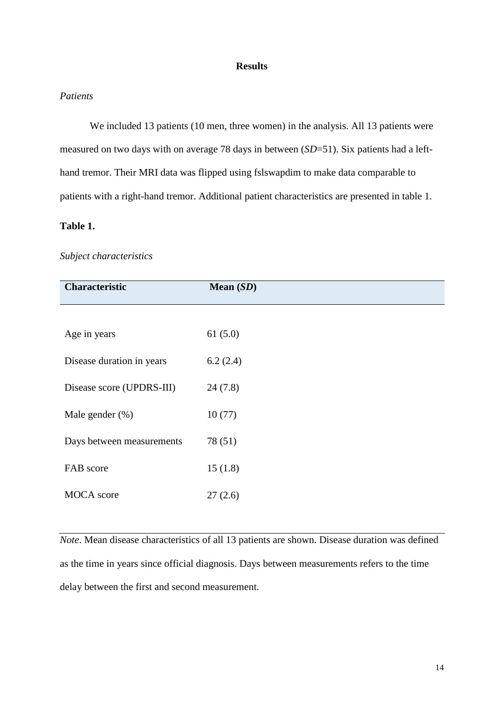## **Results**

## *Patients*

We included 13 patients (10 men, three women) in the analysis. All 13 patients were measured on two days with on average 78 days in between (*SD*=51). Six patients had a lefthand tremor. Their MRI data was flipped using fslswapdim to make data comparable to patients with a right-hand tremor. Additional patient characteristics are presented in table 1.

## **Table 1.**

### *Subject characteristics*

| <b>Characteristic</b>     | Mean $(SD)$ |
|---------------------------|-------------|
|                           |             |
| Age in years              | 61(5.0)     |
| Disease duration in years | 6.2(2.4)    |
| Disease score (UPDRS-III) | 24(7.8)     |
| Male gender $(\%)$        | 10(77)      |
| Days between measurements | 78 (51)     |
| FAB score                 | 15(1.8)     |
| <b>MOCA</b> score         | 27(2.6)     |

*Note*. Mean disease characteristics of all 13 patients are shown. Disease duration was defined as the time in years since official diagnosis. Days between measurements refers to the time delay between the first and second measurement.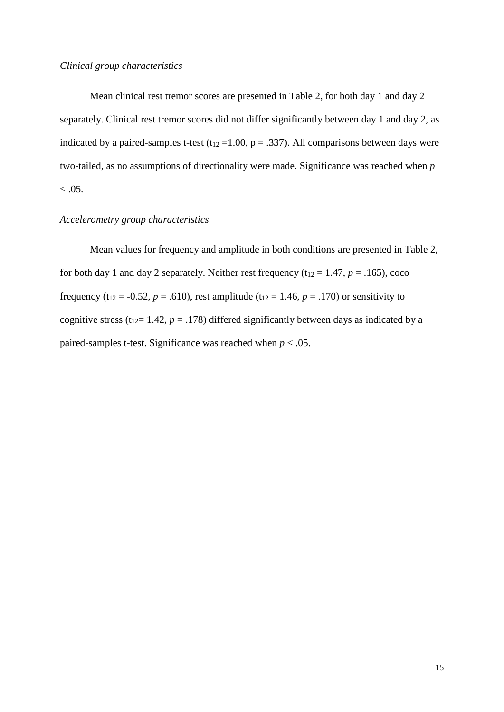Mean clinical rest tremor scores are presented in Table 2, for both day 1 and day 2 separately. Clinical rest tremor scores did not differ significantly between day 1 and day 2, as indicated by a paired-samples t-test ( $t_{12}$  = 1.00, p = .337). All comparisons between days were two-tailed, as no assumptions of directionality were made. Significance was reached when *p*  $< 0.05$ .

# *Accelerometry group characteristics*

Mean values for frequency and amplitude in both conditions are presented in Table 2, for both day 1 and day 2 separately. Neither rest frequency  $(t_{12} = 1.47, p = .165)$ , coco frequency (t<sub>12</sub> = -0.52, *p* = .610), rest amplitude (t<sub>12</sub> = 1.46, *p* = .170) or sensitivity to cognitive stress ( $t_{12}$ = 1.42, *p* = .178) differed significantly between days as indicated by a paired-samples t-test. Significance was reached when  $p < .05$ .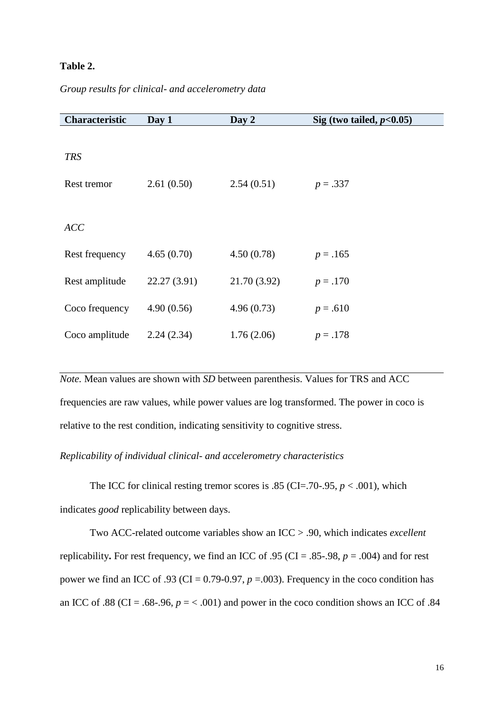# **Table 2.**

|  |  | Group results for clinical- and accelerometry data |
|--|--|----------------------------------------------------|
|  |  |                                                    |

| Characteristic | Day 1        | Day 2        | Sig (two tailed, $p<0.05$ ) |
|----------------|--------------|--------------|-----------------------------|
|                |              |              |                             |
| <b>TRS</b>     |              |              |                             |
| Rest tremor    | 2.61(0.50)   | 2.54(0.51)   | $p = .337$                  |
|                |              |              |                             |
| <b>ACC</b>     |              |              |                             |
| Rest frequency | 4.65(0.70)   | 4.50(0.78)   | $p = .165$                  |
| Rest amplitude | 22.27 (3.91) | 21.70 (3.92) | $p = .170$                  |
| Coco frequency | 4.90(0.56)   | 4.96(0.73)   | $p = .610$                  |
| Coco amplitude | 2.24(2.34)   | 1.76(2.06)   | $p=.178$                    |

*Note.* Mean values are shown with *SD* between parenthesis. Values for TRS and ACC frequencies are raw values, while power values are log transformed. The power in coco is relative to the rest condition, indicating sensitivity to cognitive stress.

## *Replicability of individual clinical- and accelerometry characteristics*

The ICC for clinical resting tremor scores is .85 (CI=.70-.95,  $p < .001$ ), which indicates *good* replicability between days.

Two ACC-related outcome variables show an ICC > .90, which indicates *excellent* replicability**.** For rest frequency, we find an ICC of .95 (CI = .85-.98, *p* = .004) and for rest power we find an ICC of .93 (CI =  $0.79$ - $0.97$ ,  $p = .003$ ). Frequency in the coco condition has an ICC of .88 (CI = .68-.96,  $p = < .001$ ) and power in the coco condition shows an ICC of .84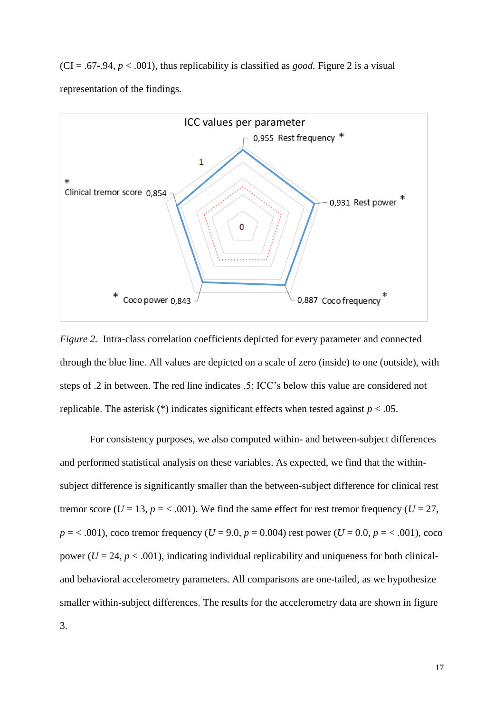$(CI = .67-.94, p < .001)$ , thus replicability is classified as *good*. Figure 2 is a visual representation of the findings.



*Figure 2.* Intra-class correlation coefficients depicted for every parameter and connected through the blue line. All values are depicted on a scale of zero (inside) to one (outside), with steps of .2 in between. The red line indicates .5; ICC's below this value are considered not replicable. The asterisk  $(*)$  indicates significant effects when tested against  $p < .05$ .

For consistency purposes, we also computed within- and between-subject differences and performed statistical analysis on these variables. As expected, we find that the withinsubject difference is significantly smaller than the between-subject difference for clinical rest tremor score ( $U = 13$ ,  $p = < .001$ ). We find the same effect for rest tremor frequency ( $U = 27$ ,  $p = 0.001$ , coco tremor frequency (*U* = 9.0, *p* = 0.004) rest power (*U* = 0.0, *p* =  $0.001$ ), coco power ( $U = 24$ ,  $p < .001$ ), indicating individual replicability and uniqueness for both clinicaland behavioral accelerometry parameters. All comparisons are one-tailed, as we hypothesize smaller within-subject differences. The results for the accelerometry data are shown in figure 3.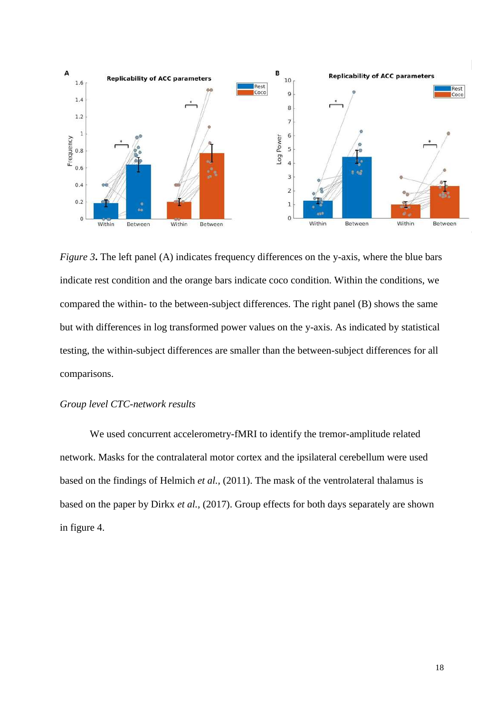

*Figure 3***.** The left panel (A) indicates frequency differences on the y-axis, where the blue bars indicate rest condition and the orange bars indicate coco condition. Within the conditions, we compared the within- to the between-subject differences. The right panel (B) shows the same but with differences in log transformed power values on the y-axis. As indicated by statistical testing, the within-subject differences are smaller than the between-subject differences for all comparisons.

# *Group level CTC-network results*

We used concurrent accelerometry-fMRI to identify the tremor-amplitude related network. Masks for the contralateral motor cortex and the ipsilateral cerebellum were used based on the findings of Helmich *et al.,* (2011). The mask of the ventrolateral thalamus is based on the paper by Dirkx *et al.,* (2017). Group effects for both days separately are shown in figure 4.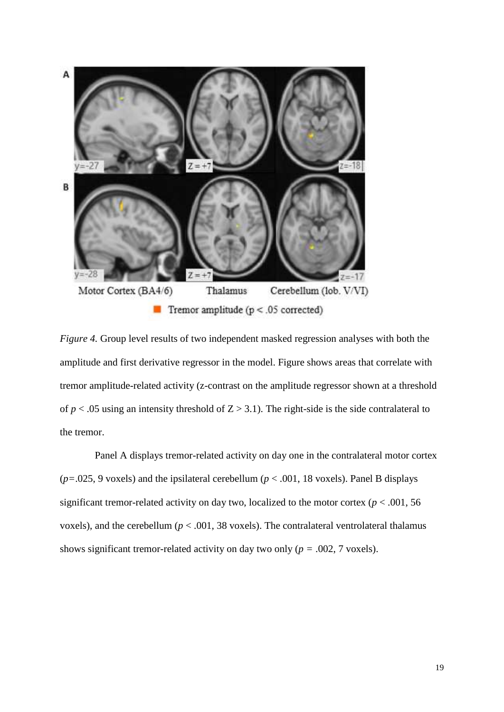

*Figure 4.* Group level results of two independent masked regression analyses with both the amplitude and first derivative regressor in the model. Figure shows areas that correlate with tremor amplitude-related activity (z-contrast on the amplitude regressor shown at a threshold of  $p < .05$  using an intensity threshold of  $Z > 3.1$ ). The right-side is the side contralateral to the tremor.

Panel A displays tremor-related activity on day one in the contralateral motor cortex ( $p=0.025$ , 9 voxels) and the ipsilateral cerebellum ( $p < .001$ , 18 voxels). Panel B displays significant tremor-related activity on day two, localized to the motor cortex ( $p < .001, 56$ ) voxels), and the cerebellum ( $p < .001$ , 38 voxels). The contralateral ventrolateral thalamus shows significant tremor-related activity on day two only ( $p = .002, 7$  voxels).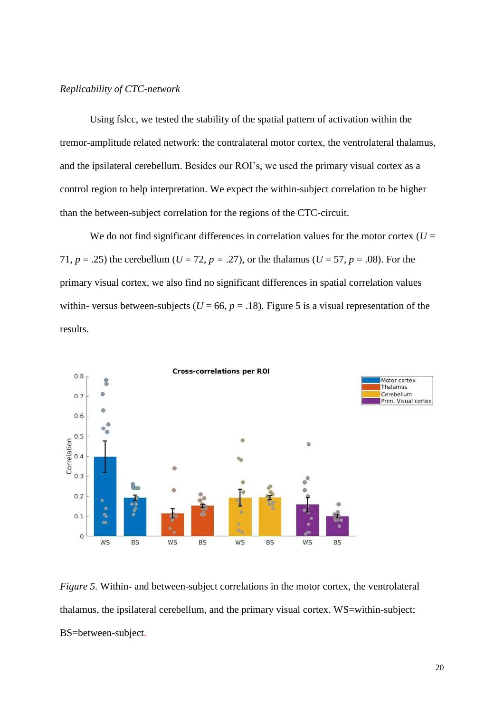## *Replicability of CTC-network*

Using fslcc, we tested the stability of the spatial pattern of activation within the tremor-amplitude related network: the contralateral motor cortex, the ventrolateral thalamus, and the ipsilateral cerebellum. Besides our ROI's, we used the primary visual cortex as a control region to help interpretation. We expect the within-subject correlation to be higher than the between-subject correlation for the regions of the CTC-circuit.

We do not find significant differences in correlation values for the motor cortex  $(U =$ 71,  $p = .25$ ) the cerebellum ( $U = 72$ ,  $p = .27$ ), or the thalamus ( $U = 57$ ,  $p = .08$ ). For the primary visual cortex, we also find no significant differences in spatial correlation values within- versus between-subjects ( $U = 66$ ,  $p = .18$ ). Figure 5 is a visual representation of the results.



*Figure 5.* Within- and between-subject correlations in the motor cortex, the ventrolateral thalamus, the ipsilateral cerebellum, and the primary visual cortex. WS=within-subject; BS=between-subject.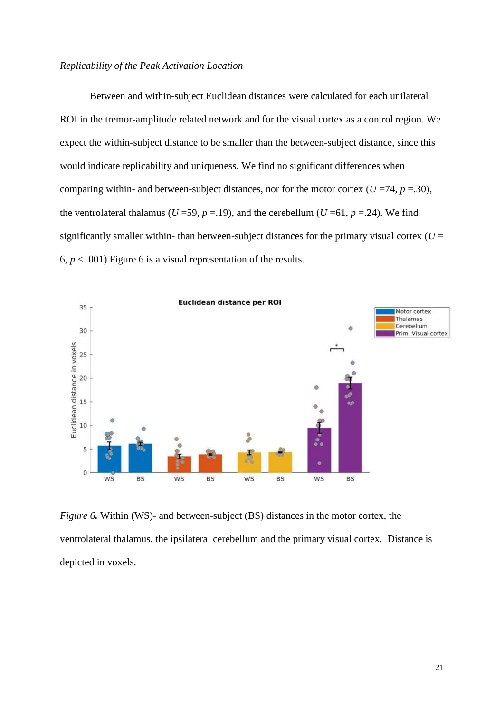## *Replicability of the Peak Activation Location*

Between and within-subject Euclidean distances were calculated for each unilateral ROI in the tremor-amplitude related network and for the visual cortex as a control region. We expect the within-subject distance to be smaller than the between-subject distance, since this would indicate replicability and uniqueness. We find no significant differences when comparing within- and between-subject distances, nor for the motor cortex ( $U = 74$ ,  $p = .30$ ), the ventrolateral thalamus ( $U = 59$ ,  $p = .19$ ), and the cerebellum ( $U = 61$ ,  $p = .24$ ). We find significantly smaller within- than between-subject distances for the primary visual cortex  $(U =$ 6,  $p < .001$ ) Figure 6 is a visual representation of the results.



*Figure 6.* Within (WS)- and between-subject (BS) distances in the motor cortex, the ventrolateral thalamus, the ipsilateral cerebellum and the primary visual cortex. Distance is depicted in voxels.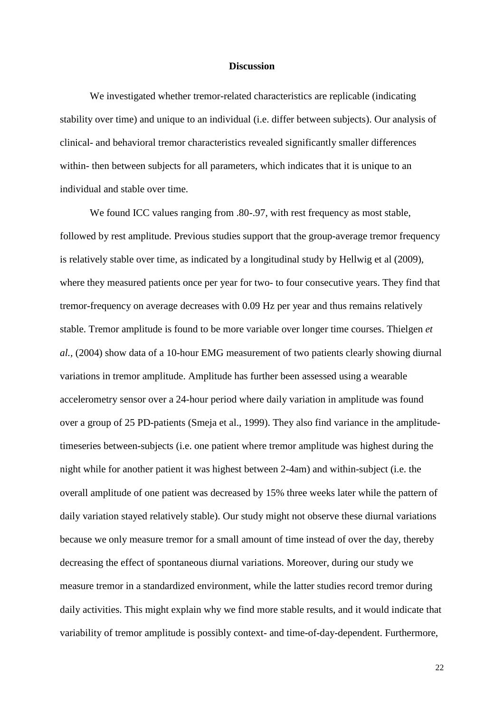## **Discussion**

We investigated whether tremor-related characteristics are replicable (indicating stability over time) and unique to an individual (i.e. differ between subjects). Our analysis of clinical- and behavioral tremor characteristics revealed significantly smaller differences within- then between subjects for all parameters, which indicates that it is unique to an individual and stable over time.

We found ICC values ranging from .80-.97, with rest frequency as most stable, followed by rest amplitude. Previous studies support that the group-average tremor frequency is relatively stable over time, as indicated by a longitudinal study by Hellwig et al (2009), where they measured patients once per year for two- to four consecutive years. They find that tremor-frequency on average decreases with 0.09 Hz per year and thus remains relatively stable. Tremor amplitude is found to be more variable over longer time courses. Thielgen *et al.,* (2004) show data of a 10-hour EMG measurement of two patients clearly showing diurnal variations in tremor amplitude. Amplitude has further been assessed using a wearable accelerometry sensor over a 24-hour period where daily variation in amplitude was found over a group of 25 PD-patients (Smeja et al., 1999). They also find variance in the amplitudetimeseries between-subjects (i.e. one patient where tremor amplitude was highest during the night while for another patient it was highest between 2-4am) and within-subject (i.e. the overall amplitude of one patient was decreased by 15% three weeks later while the pattern of daily variation stayed relatively stable). Our study might not observe these diurnal variations because we only measure tremor for a small amount of time instead of over the day, thereby decreasing the effect of spontaneous diurnal variations. Moreover, during our study we measure tremor in a standardized environment, while the latter studies record tremor during daily activities. This might explain why we find more stable results, and it would indicate that variability of tremor amplitude is possibly context- and time-of-day-dependent. Furthermore,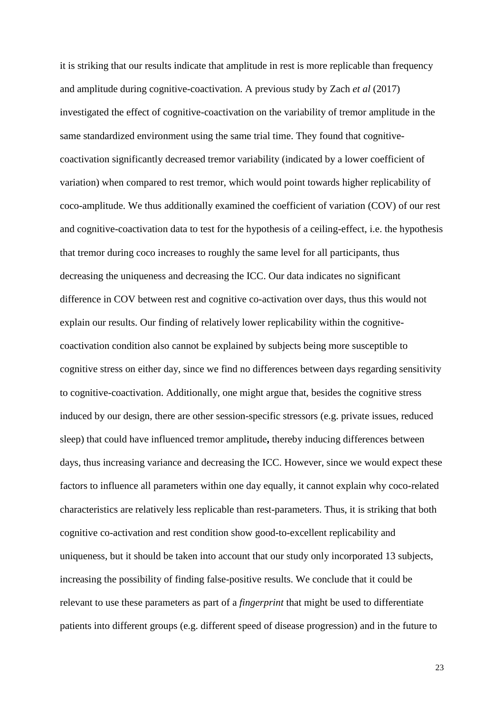it is striking that our results indicate that amplitude in rest is more replicable than frequency and amplitude during cognitive-coactivation. A previous study by Zach *et al* (2017) investigated the effect of cognitive-coactivation on the variability of tremor amplitude in the same standardized environment using the same trial time. They found that cognitivecoactivation significantly decreased tremor variability (indicated by a lower coefficient of variation) when compared to rest tremor, which would point towards higher replicability of coco-amplitude. We thus additionally examined the coefficient of variation (COV) of our rest and cognitive-coactivation data to test for the hypothesis of a ceiling-effect, i.e. the hypothesis that tremor during coco increases to roughly the same level for all participants, thus decreasing the uniqueness and decreasing the ICC. Our data indicates no significant difference in COV between rest and cognitive co-activation over days, thus this would not explain our results. Our finding of relatively lower replicability within the cognitivecoactivation condition also cannot be explained by subjects being more susceptible to cognitive stress on either day, since we find no differences between days regarding sensitivity to cognitive-coactivation. Additionally, one might argue that, besides the cognitive stress induced by our design, there are other session-specific stressors (e.g. private issues, reduced sleep) that could have influenced tremor amplitude**,** thereby inducing differences between days, thus increasing variance and decreasing the ICC. However, since we would expect these factors to influence all parameters within one day equally, it cannot explain why coco-related characteristics are relatively less replicable than rest-parameters. Thus, it is striking that both cognitive co-activation and rest condition show good-to-excellent replicability and uniqueness, but it should be taken into account that our study only incorporated 13 subjects, increasing the possibility of finding false-positive results. We conclude that it could be relevant to use these parameters as part of a *fingerprint* that might be used to differentiate patients into different groups (e.g. different speed of disease progression) and in the future to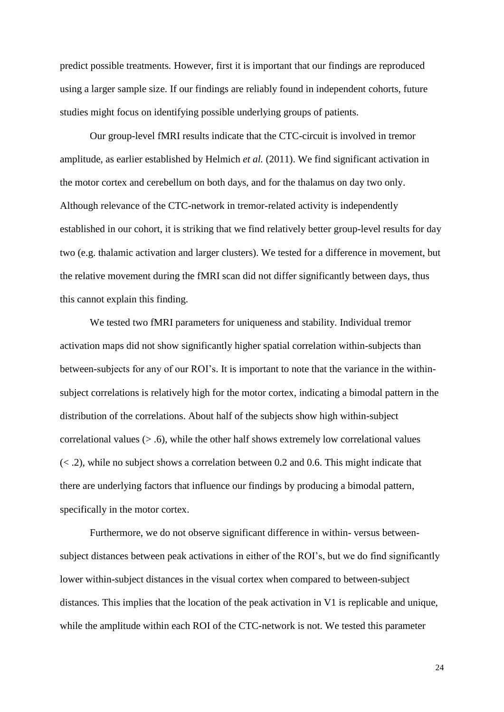predict possible treatments*.* However, first it is important that our findings are reproduced using a larger sample size. If our findings are reliably found in independent cohorts, future studies might focus on identifying possible underlying groups of patients.

Our group-level fMRI results indicate that the CTC-circuit is involved in tremor amplitude, as earlier established by Helmich *et al.* (2011). We find significant activation in the motor cortex and cerebellum on both days, and for the thalamus on day two only. Although relevance of the CTC-network in tremor-related activity is independently established in our cohort, it is striking that we find relatively better group-level results for day two (e.g. thalamic activation and larger clusters). We tested for a difference in movement, but the relative movement during the fMRI scan did not differ significantly between days, thus this cannot explain this finding.

We tested two fMRI parameters for uniqueness and stability. Individual tremor activation maps did not show significantly higher spatial correlation within-subjects than between-subjects for any of our ROI's. It is important to note that the variance in the withinsubject correlations is relatively high for the motor cortex, indicating a bimodal pattern in the distribution of the correlations. About half of the subjects show high within-subject correlational values  $(> 0.6)$ , while the other half shows extremely low correlational values  $(< .2)$ , while no subject shows a correlation between 0.2 and 0.6. This might indicate that there are underlying factors that influence our findings by producing a bimodal pattern, specifically in the motor cortex.

Furthermore, we do not observe significant difference in within- versus betweensubject distances between peak activations in either of the ROI's, but we do find significantly lower within-subject distances in the visual cortex when compared to between-subject distances. This implies that the location of the peak activation in V1 is replicable and unique, while the amplitude within each ROI of the CTC-network is not. We tested this parameter

24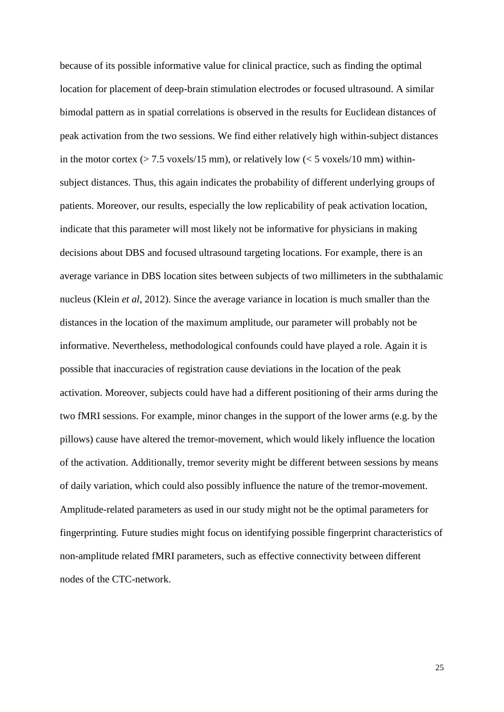because of its possible informative value for clinical practice, such as finding the optimal location for placement of deep-brain stimulation electrodes or focused ultrasound. A similar bimodal pattern as in spatial correlations is observed in the results for Euclidean distances of peak activation from the two sessions. We find either relatively high within-subject distances in the motor cortex ( $> 7.5$  voxels/15 mm), or relatively low ( $< 5$  voxels/10 mm) withinsubject distances. Thus, this again indicates the probability of different underlying groups of patients. Moreover, our results, especially the low replicability of peak activation location, indicate that this parameter will most likely not be informative for physicians in making decisions about DBS and focused ultrasound targeting locations. For example, there is an average variance in DBS location sites between subjects of two millimeters in the subthalamic nucleus (Klein *et al*, 2012). Since the average variance in location is much smaller than the distances in the location of the maximum amplitude, our parameter will probably not be informative. Nevertheless, methodological confounds could have played a role. Again it is possible that inaccuracies of registration cause deviations in the location of the peak activation. Moreover, subjects could have had a different positioning of their arms during the two fMRI sessions. For example, minor changes in the support of the lower arms (e.g. by the pillows) cause have altered the tremor-movement, which would likely influence the location of the activation. Additionally, tremor severity might be different between sessions by means of daily variation, which could also possibly influence the nature of the tremor-movement. Amplitude-related parameters as used in our study might not be the optimal parameters for fingerprinting*.* Future studies might focus on identifying possible fingerprint characteristics of non-amplitude related fMRI parameters, such as effective connectivity between different nodes of the CTC-network.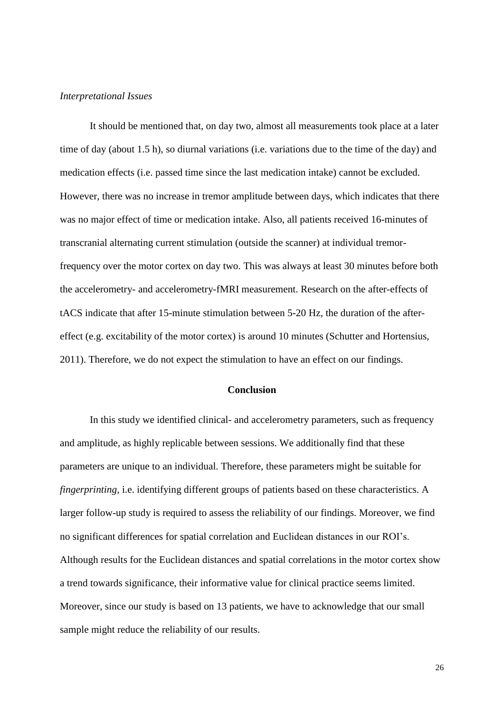#### *Interpretational Issues*

It should be mentioned that, on day two, almost all measurements took place at a later time of day (about 1.5 h), so diurnal variations (i.e. variations due to the time of the day) and medication effects (i.e. passed time since the last medication intake) cannot be excluded. However, there was no increase in tremor amplitude between days, which indicates that there was no major effect of time or medication intake. Also, all patients received 16-minutes of transcranial alternating current stimulation (outside the scanner) at individual tremorfrequency over the motor cortex on day two. This was always at least 30 minutes before both the accelerometry- and accelerometry-fMRI measurement. Research on the after-effects of tACS indicate that after 15-minute stimulation between 5-20 Hz, the duration of the aftereffect (e.g. excitability of the motor cortex) is around 10 minutes (Schutter and Hortensius, 2011). Therefore, we do not expect the stimulation to have an effect on our findings.

## **Conclusion**

In this study we identified clinical- and accelerometry parameters, such as frequency and amplitude, as highly replicable between sessions. We additionally find that these parameters are unique to an individual. Therefore, these parameters might be suitable for *fingerprinting,* i.e. identifying different groups of patients based on these characteristics. A larger follow-up study is required to assess the reliability of our findings. Moreover, we find no significant differences for spatial correlation and Euclidean distances in our ROI's. Although results for the Euclidean distances and spatial correlations in the motor cortex show a trend towards significance, their informative value for clinical practice seems limited. Moreover, since our study is based on 13 patients, we have to acknowledge that our small sample might reduce the reliability of our results.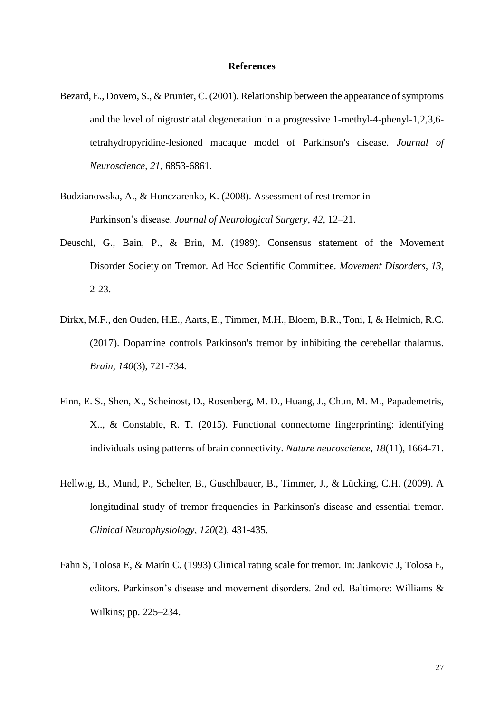### **References**

- Bezard, E., Dovero, S., & Prunier, C. (2001). Relationship between the appearance of symptoms and the level of nigrostriatal degeneration in a progressive 1-methyl-4-phenyl-1,2,3,6 tetrahydropyridine-lesioned macaque model of Parkinson's disease. *Journal of Neuroscience, 21,* 6853-6861.
- Budzianowska, A., & Honczarenko, K. (2008). Assessment of rest tremor in Parkinson's disease. *Journal of Neurological Surgery, 42*, 12–21.
- Deuschl, G., Bain, P., & Brin, M. (1989). Consensus statement of the Movement Disorder Society on Tremor. Ad Hoc Scientific Committee. *Movement Disorders, 13*, 2-23.
- [Dirkx, M.F.](https://www.ncbi.nlm.nih.gov/pubmed/?term=Dirkx%20MF%5BAuthor%5D&cauthor=true&cauthor_uid=28073788), den Ouden, H.E., [Aarts, E.](https://www.ncbi.nlm.nih.gov/pubmed/?term=Aarts%20E%5BAuthor%5D&cauthor=true&cauthor_uid=28073788)[, Timmer, M.H.](https://www.ncbi.nlm.nih.gov/pubmed/?term=Timmer%20MH%5BAuthor%5D&cauthor=true&cauthor_uid=28073788), [Bloem, B.R.](https://www.ncbi.nlm.nih.gov/pubmed/?term=Bloem%20BR%5BAuthor%5D&cauthor=true&cauthor_uid=28073788), [Toni, I,](https://www.ncbi.nlm.nih.gov/pubmed/?term=Toni%20I%5BAuthor%5D&cauthor=true&cauthor_uid=28073788) [& Helmich,](https://www.ncbi.nlm.nih.gov/pubmed/?term=Helmich%20RC%5BAuthor%5D&cauthor=true&cauthor_uid=28073788) R.C. (2017). Dopamine controls Parkinson's tremor by inhibiting the cerebellar thalamus. *Brain, 140*(3), 721-734.
- Finn, E. S., Shen, X., Scheinost, D., Rosenberg, M. D., Huang, J., Chun, M. M., Papademetris, X.., & Constable, R. T. (2015). Functional connectome fingerprinting: identifying individuals using patterns of brain connectivity. *Nature neuroscience*, *18*(11), 1664-71.
- Hellwig, B., Mund, P., Schelter, B., Guschlbauer, B., Timmer, J., & Lücking, C.H. (2009). A longitudinal study of tremor frequencies in Parkinson's disease and essential tremor. *Clinical Neurophysiology, 120*(2), 431-435.
- Fahn S, Tolosa E, & Marín C. (1993) Clinical rating scale for tremor. In: Jankovic J, Tolosa E, editors. Parkinson's disease and movement disorders. 2nd ed. Baltimore: Williams & Wilkins; pp. 225–234.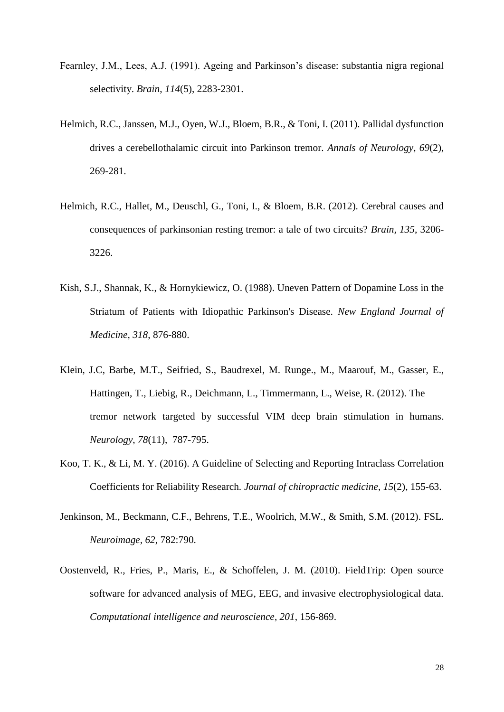- Fearnley, J.M., Lees, A.J. (1991). Ageing and Parkinson's disease: substantia nigra regional selectivity. *Brain*, *114*(5), 2283-2301.
- Helmich, R.C., Janssen, M.J., Oyen, W.J., Bloem, B.R., & Toni, I. (2011). Pallidal dysfunction drives a cerebellothalamic circuit into Parkinson tremor. *Annals of Neurology, 69*(2), 269-281.
- Helmich, R.C., Hallet, M., Deuschl, G., Toni, I., & Bloem, B.R. (2012). Cerebral causes and consequences of parkinsonian resting tremor: a tale of two circuits? *Brain, 135*, 3206- 3226.
- Kish, S.J., Shannak, K., & Hornykiewicz, O. (1988). Uneven Pattern of Dopamine Loss in the Striatum of Patients with Idiopathic Parkinson's Disease. *New England Journal of Medicine, 318*, 876-880.
- Klein, J.C, Barbe, M.T., Seifried, S., Baudrexel, M. Runge., M., Maarouf, M., Gasser, E., Hattingen, T., Liebig, R., Deichmann, L., Timmermann, L., Weise, R. (2012). The tremor network targeted by successful VIM deep brain stimulation in humans. *Neurology*, *78*(11), 787-795.
- Koo, T. K., & Li, M. Y. (2016). A Guideline of Selecting and Reporting Intraclass Correlation Coefficients for Reliability Research. *Journal of chiropractic medicine*, *15*(2), 155-63.
- Jenkinson, M., Beckmann, C.F., Behrens, T.E., Woolrich, M.W., & Smith, S.M. (2012). FSL. *Neuroimage, 62*, 782:790.
- Oostenveld, R., Fries, P., Maris, E., & Schoffelen, J. M. (2010). FieldTrip: Open source software for advanced analysis of MEG, EEG, and invasive electrophysiological data. *Computational intelligence and neuroscience*, *201*, 156-869.